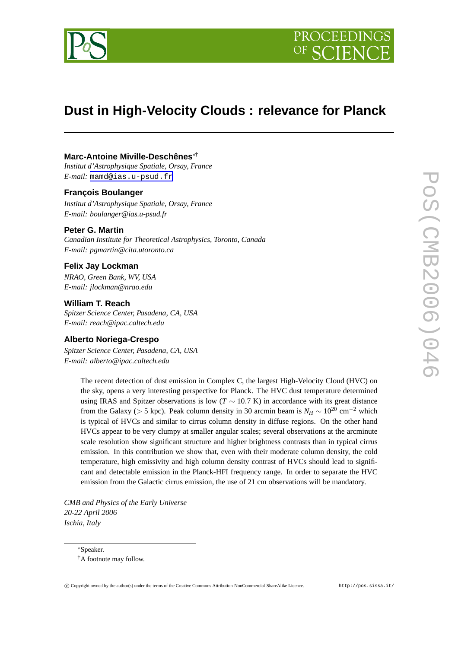

# **Dust in High-Velocity Clouds : relevance for Planck**

# **Marc-Antoine Miville-Deschênes**∗†

*Institut d'Astrophysique Spatiale, Orsay, France E-mail:* [mamd@ias.u-psud.fr](mailto:mamd@ias.u-psud.fr)

# **François Boulanger**

*Institut d'Astrophysique Spatiale, Orsay, France E-mail: boulanger@ias.u-psud.fr*

#### **Peter G. Martin**

*Canadian Institute for Theoretical Astrophysics, Toronto, Canada E-mail: pgmartin@cita.utoronto.ca*

# **Felix Jay Lockman**

*NRAO, Green Bank, WV, USA E-mail: jlockman@nrao.edu*

# **William T. Reach**

*Spitzer Science Center, Pasadena, CA, USA E-mail: reach@ipac.caltech.edu*

#### **Alberto Noriega-Crespo**

*Spitzer Science Center, Pasadena, CA, USA E-mail: alberto@ipac.caltech.edu*

> The recent detection of dust emission in Complex C, the largest High-Velocity Cloud (HVC) on the sky, opens a very interesting perspective for Planck. The HVC dust temperature determined using IRAS and Spitzer observations is low ( $T \sim 10.7$  K) in accordance with its great distance from the Galaxy (> 5 kpc). Peak column density in 30 arcmin beam is  $N_H \sim 10^{20}$  cm<sup>-2</sup> which is typical of HVCs and similar to cirrus column density in diffuse regions. On the other hand HVCs appear to be very clumpy at smaller angular scales; several observations at the arcminute scale resolution show significant structure and higher brightness contrasts than in typical cirrus emission. In this contribution we show that, even with their moderate column density, the cold temperature, high emissivity and high column density contrast of HVCs should lead to significant and detectable emission in the Planck-HFI frequency range. In order to separate the HVC emission from the Galactic cirrus emission, the use of 21 cm observations will be mandatory.

*CMB and Physics of the Early Universe 20-22 April 2006 Ischia, Italy*

<sup>∗</sup>Speaker.

<sup>†</sup>A footnote may follow.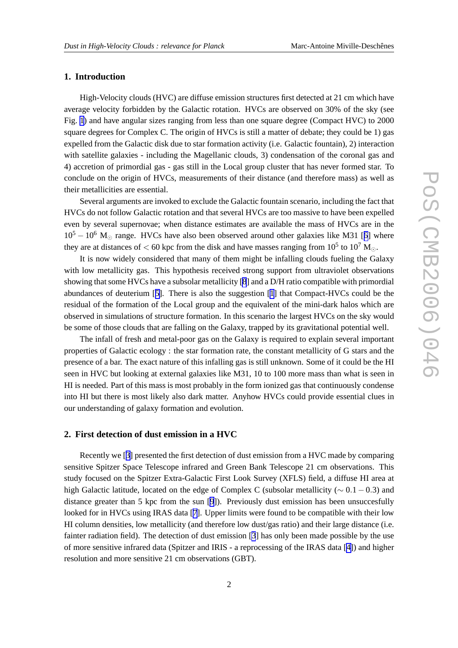# **1. Introduction**

High-Velocity clouds (HVC) are diffuse emission structures first detected at 21 cm which have average velocity forbidden by the Galactic rotation. HVCs are observed on 30% of the sky (see Fig. [1](#page-2-0)) and have angular sizes ranging from less than one square degree (Compact HVC) to 2000 square degrees for Complex C. The origin of HVCs is still a matter of debate; they could be 1) gas expelled from the Galactic disk due to star formation activity (i.e. Galactic fountain), 2) interaction with satellite galaxies - including the Magellanic clouds, 3) condensation of the coronal gas and 4) accretion of primordial gas - gas still in the Local group cluster that has never formed star. To conclude on the origin of HVCs, measurements of their distance (and therefore mass) as well as their metallicities are essential.

Several arguments are invoked to exclude the Galactic fountain scenario, including the fact that HVCs do not follow Galactic rotation and that several HVCs are too massive to have been expelled even by several supernovae; when distance estimates are available the mass of HVCs are in the  $10^5 - 10^6$  $10^5 - 10^6$  M<sub>o</sub> range. HVCs have also been observed around other galaxies like M31 [6] where they are at distances of  $<$  60 kpc from the disk and have masses ranging from 10<sup>5</sup> to 10<sup>7</sup> M<sub>o</sub>.

It is now widely considered that many of them might be infalling clouds fueling the Galaxy with low metallicity gas. This hypothesis received strong support from ultraviolet observations showing that some HVCs have a subsolar metallicity [\[8](#page-3-0)] and a D/H ratio compatible with primordial abundances of deuterium [[5\]](#page-3-0). There is also the suggestion [[1](#page-3-0)] that Compact-HVCs could be the residual of the formation of the Local group and the equivalent of the mini-dark halos which are observed in simulations of structure formation. In this scenario the largest HVCs on the sky would be some of those clouds that are falling on the Galaxy, trapped by its gravitational potential well.

The infall of fresh and metal-poor gas on the Galaxy is required to explain several important properties of Galactic ecology : the star formation rate, the constant metallicity of G stars and the presence of a bar. The exact nature of this infalling gas is still unknown. Some of it could be the HI seen in HVC but looking at external galaxies like M31, 10 to 100 more mass than what is seen in HI is needed. Part of this mass is most probably in the form ionized gas that continuously condense into HI but there is most likely also dark matter. Anyhow HVCs could provide essential clues in our understanding of galaxy formation and evolution.

#### **2. First detection of dust emission in a HVC**

Recently we [[3](#page-3-0)] presented the first detection of dust emission from a HVC made by comparing sensitive Spitzer Space Telescope infrared and Green Bank Telescope 21 cm observations. This study focused on the Spitzer Extra-Galactic First Look Survey (XFLS) field, a diffuse HI area at high Galactic latitude, located on the edge of Complex C (subsolar metallicity ( $\sim 0.1 - 0.3$ ) and distance greater than 5 kpc from the sun [[9](#page-3-0)]). Previously dust emission has been unsuccesfully looked for in HVCs using IRAS data [[7](#page-3-0)]. Upper limits were found to be compatible with their low HI column densities, low metallicity (and therefore low dust/gas ratio) and their large distance (i.e. fainter radiation field). The detection of dust emission [\[3](#page-3-0)] has only been made possible by the use of more sensitive infrared data (Spitzer and IRIS - a reprocessing of the IRAS data [\[4\]](#page-3-0)) and higher resolution and more sensitive 21 cm observations (GBT).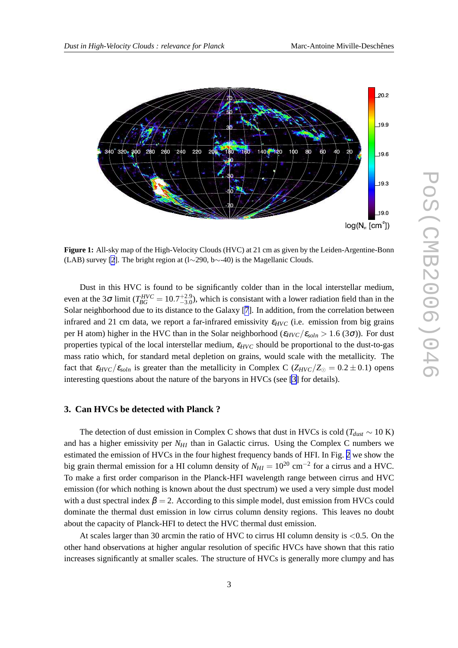<span id="page-2-0"></span>



**Figure 1:** All-sky map of the High-Velocity Clouds (HVC) at 21 cm as given by the Leiden-Argentine-Bonn (LAB) survey [\[2](#page-3-0)]. The bright region at (l∼290, b∼-40) is the Magellanic Clouds.

Dust in this HVC is found to be significantly colder than in the local interstellar medium, even at the 3 $\sigma$  limit ( $T_{BG}^{HVC} = 10.7^{+2.9}_{-3.0}$ ), which is consistant with a lower radiation field than in the Solar neighborhood due to its distance to the Galaxy [[7](#page-3-0)]. In addition, from the correlation between infrared and 21 cm data, we report a far-infrared emissivity  $\varepsilon_{HVC}$  (i.e. emission from big grains per H atom) higher in the HVC than in the Solar neighborhood ( $\epsilon_{HVC}/\epsilon_{soln} > 1.6$  (3 $\sigma$ )). For dust properties typical of the local interstellar medium, <sup>ε</sup>*HVC* should be proportional to the dust-to-gas mass ratio which, for standard metal depletion on grains, would scale with the metallicity. The fact that  $\varepsilon_{HVC}/\varepsilon_{soln}$  is greater than the metallicity in Complex C ( $Z_{HVC}/Z_{\odot} = 0.2 \pm 0.1$ ) opens interesting questions about the nature of the baryons in HVCs (see [\[3\]](#page-3-0) for details).

# **3. Can HVCs be detected with Planck ?**

The detection of dust emission in Complex C shows that dust in HVCs is cold ( $T_{dust} \sim 10 \text{ K}$ ) and has a higher emissivity per  $N_{HI}$  than in Galactic cirrus. Using the Complex C numbers we estimated the emission of HVCs in the four highest frequency bands of HFI. In Fig. [2](#page-3-0) we show the big grain thermal emission for a HI column density of  $N_{HI} = 10^{20}$  cm<sup>-2</sup> for a cirrus and a HVC. To make a first order comparison in the Planck-HFI wavelength range between cirrus and HVC emission (for which nothing is known about the dust spectrum) we used a very simple dust model with a dust spectral index  $\beta = 2$ . According to this simple model, dust emission from HVCs could dominate the thermal dust emission in low cirrus column density regions. This leaves no doubt about the capacity of Planck-HFI to detect the HVC thermal dust emission.

At scales larger than 30 arcmin the ratio of HVC to cirrus HI column density is  $\leq 0.5$ . On the other hand observations at higher angular resolution of specific HVCs have shown that this ratio increases significantly at smaller scales. The structure of HVCs is generally more clumpy and has